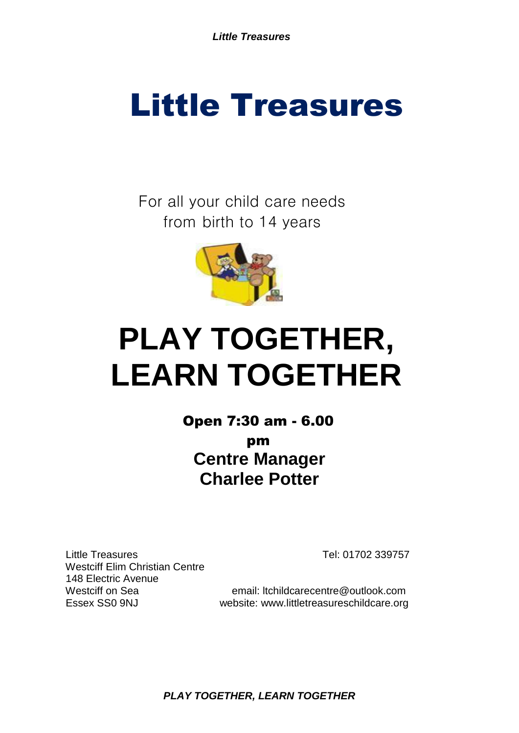For all your child care needs from birth to 14 years



# **PLAY TOGETHER, LEARN TOGETHER**

**Centre Manager Charlee Potter** Open 7:30 am - 6.00 pm

Little Treasures Tel: 01702 339757 Westciff Elim Christian Centre 148 Electric Avenue

Westciff on Sea email: ltchildcarecentre@outlook.com Essex SS0 9NJ website: www.littletreasureschildcare.org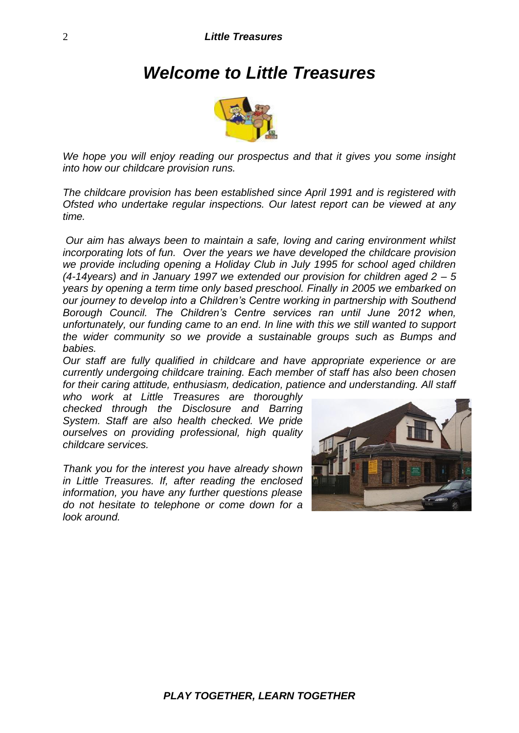# *Welcome to Little Treasures*



*We hope you will enjoy reading our prospectus and that it gives you some insight into how our childcare provision runs.*

*The childcare provision has been established since April 1991 and is registered with Ofsted who undertake regular inspections. Our latest report can be viewed at any time.*

*Our aim has always been to maintain a safe, loving and caring environment whilst incorporating lots of fun. Over the years we have developed the childcare provision we provide including opening a Holiday Club in July 1995 for school aged children (4-14years) and in January 1997 we extended our provision for children aged 2 – 5 years by opening a term time only based preschool. Finally in 2005 we embarked on our journey to develop into a Children's Centre working in partnership with Southend Borough Council. The Children's Centre services ran until June 2012 when, unfortunately, our funding came to an end. In line with this we still wanted to support the wider community so we provide a sustainable groups such as Bumps and babies.*

*Our staff are fully qualified in childcare and have appropriate experience or are currently undergoing childcare training. Each member of staff has also been chosen for their caring attitude, enthusiasm, dedication, patience and understanding. All staff* 

*who work at Little Treasures are thoroughly checked through the Disclosure and Barring System. Staff are also health checked. We pride ourselves on providing professional, high quality childcare services.*

*Thank you for the interest you have already shown in Little Treasures. If, after reading the enclosed information, you have any further questions please do not hesitate to telephone or come down for a look around.*

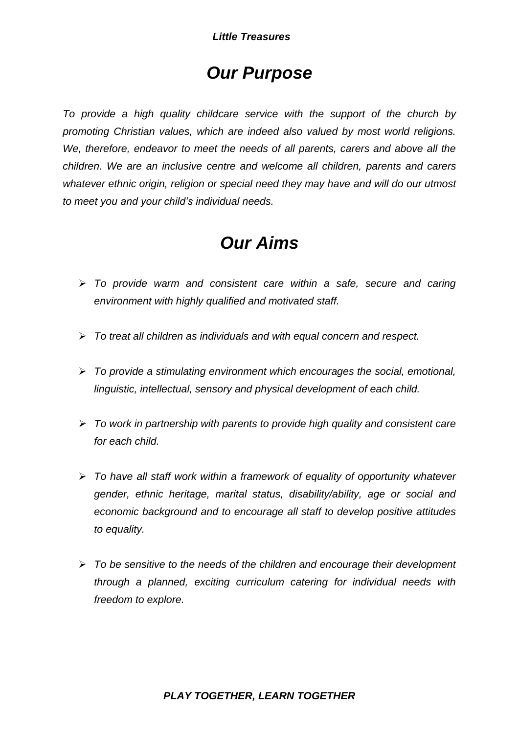# *Our Purpose*

*To provide a high quality childcare service with the support of the church by promoting Christian values, which are indeed also valued by most world religions. We, therefore, endeavor to meet the needs of all parents, carers and above all the children. We are an inclusive centre and welcome all children, parents and carers whatever ethnic origin, religion or special need they may have and will do our utmost to meet you and your child's individual needs.*

# *Our Aims*

- *To provide warm and consistent care within a safe, secure and caring environment with highly qualified and motivated staff.*
- *To treat all children as individuals and with equal concern and respect.*
- *To provide a stimulating environment which encourages the social, emotional, linguistic, intellectual, sensory and physical development of each child.*
- *To work in partnership with parents to provide high quality and consistent care for each child.*
- *To have all staff work within a framework of equality of opportunity whatever gender, ethnic heritage, marital status, disability/ability, age or social and economic background and to encourage all staff to develop positive attitudes to equality.*
- *To be sensitive to the needs of the children and encourage their development through a planned, exciting curriculum catering for individual needs with freedom to explore.*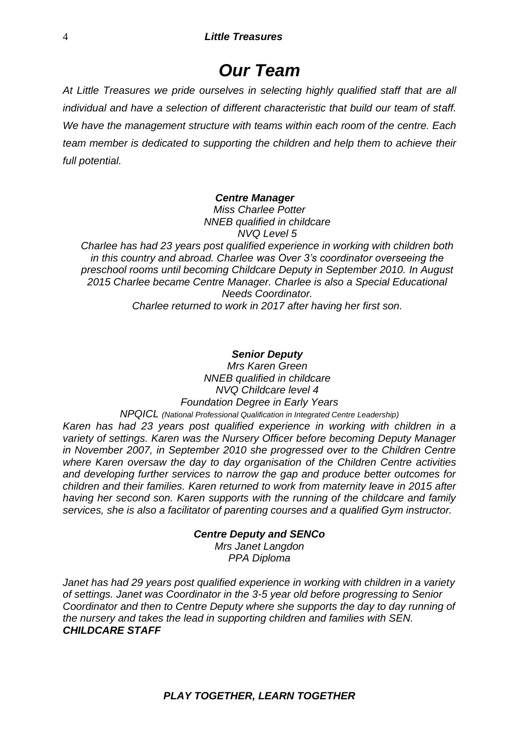# *Our Team*

*At Little Treasures we pride ourselves in selecting highly qualified staff that are all individual and have a selection of different characteristic that build our team of staff. We have the management structure with teams within each room of the centre. Each team member is dedicated to supporting the children and help them to achieve their full potential.* 

#### *Centre Manager*

*Miss Charlee Potter NNEB qualified in childcare NVQ Level 5*

*Charlee has had 23 years post qualified experience in working with children both in this country and abroad. Charlee was Over 3's coordinator overseeing the preschool rooms until becoming Childcare Deputy in September 2010. In August 2015 Charlee became Centre Manager. Charlee is also a Special Educational Needs Coordinator. Charlee returned to work in 2017 after having her first son.*

#### *Senior Deputy*

*Mrs Karen Green NNEB qualified in childcare NVQ Childcare level 4 Foundation Degree in Early Years NPQICL (National Professional Qualification in Integrated Centre Leadership)*

*Karen has had 23 years post qualified experience in working with children in a variety of settings. Karen was the Nursery Officer before becoming Deputy Manager in November 2007, in September 2010 she progressed over to the Children Centre where Karen oversaw the day to day organisation of the Children Centre activities and developing further services to narrow the gap and produce better outcomes for children and their families. Karen returned to work from maternity leave in 2015 after having her second son. Karen supports with the running of the childcare and family services, she is also a facilitator of parenting courses and a qualified Gym instructor.* 

#### *Centre Deputy and SENCo*

*Mrs Janet Langdon PPA Diploma*

*Janet has had 29 years post qualified experience in working with children in a variety of settings. Janet was Coordinator in the 3-5 year old before progressing to Senior Coordinator and then to Centre Deputy where she supports the day to day running of the nursery and takes the lead in supporting children and families with SEN. CHILDCARE STAFF*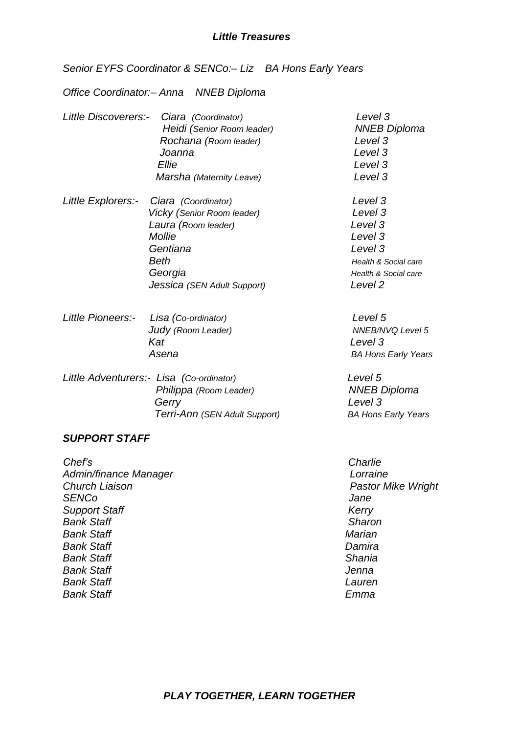*Senior EYFS Coordinator & SENCo:– Liz BA Hons Early Years*

*Office Coordinator:– Anna NNEB Diploma*

- *Little Discoverers:- Ciara (Coordinator) Level 3 Heidi (Senior Room leader) NNEB Diploma Rochana (Room leader) Level 3 Joanna Level 3 Ellie Level 3 Marsha (Maternity Leave) Level 3 Little Explorers:- Ciara (Coordinator) Level 3 Vicky (Senior Room leader) Level 3 Laura (Room leader) Level 3 Mollie Level 3 Gentiana Level 3 Beth Health & Social care*
- *Little Pioneers:- Lisa (Co-ordinator) Level 5 Judy* (Room Leader) MICH MICH MICHANG Level 5 *Kat Level 3 Asena BA Hons Early Years*

 *Georgia Health & Social care*

 *Jessica (SEN Adult Support) Level 2*

*Little Adventurers:- Lisa (Co-ordinator) Level 5 Philippa (Room Leader) NNEB Diploma Gerry Level 3 Terri-Ann (SEN Adult Support) BA Hons Early Years*

#### *SUPPORT STAFF*

*Chef's Charlie Admin/finance Manager Lorraine Church Liaison Church Liaison Pastor Mike Wright SENCo Jane* **Support Staff** Kerry *Bank Staff Sharon Bank Staff Marian Bank Staff Damira Bank Staff Shania Bank Staff Jenna Bank Staff Lauren Bank Staff Emma*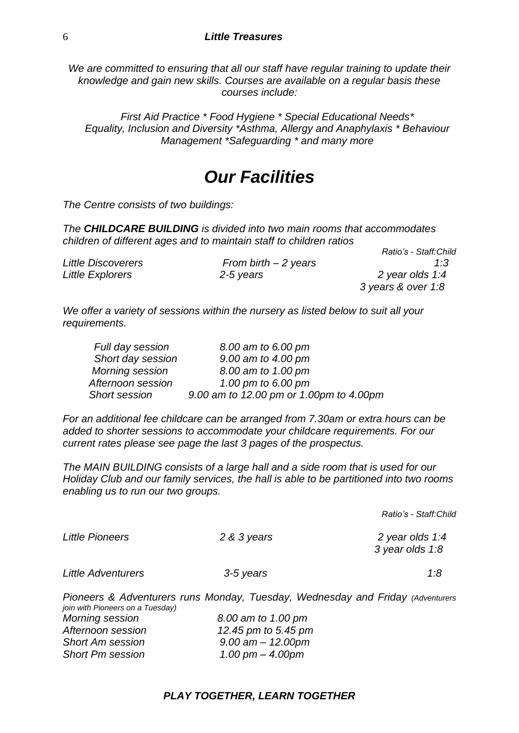*We are committed to ensuring that all our staff have regular training to update their knowledge and gain new skills. Courses are available on a regular basis these courses include:*

*First Aid Practice \* Food Hygiene \* Special Educational Needs\* Equality, Inclusion and Diversity \*Asthma, Allergy and Anaphylaxis \* Behaviour Management \*Safeguarding \* and many more*

# *Our Facilities*

*The Centre consists of two buildings:*

*The CHILDCARE BUILDING is divided into two main rooms that accommodates children of different ages and to maintain staff to children ratios Ratio's - Staff:Child* 

|                           |                       | Ratio's - Staff:Child |
|---------------------------|-----------------------|-----------------------|
| <b>Little Discoverers</b> | From birth $-2$ years | 1:3                   |
| Little Explorers          | 2-5 years             | 2 year olds 1:4       |
|                           |                       | 3 years & over 1:8    |

*We offer a variety of sessions within the nursery as listed below to suit all your requirements.*

| Full day session       | 8.00 am to 6.00 pm                      |
|------------------------|-----------------------------------------|
| Short day session      | 9.00 am to 4.00 pm                      |
| <b>Morning session</b> | 8.00 am to 1.00 pm                      |
| Afternoon session      | 1.00 pm to 6.00 pm                      |
| <b>Short session</b>   | 9.00 am to 12.00 pm or 1.00pm to 4.00pm |

*For an additional fee childcare can be arranged from 7.30am or extra hours can be added to shorter sessions to accommodate your childcare requirements. For our current rates please see page the last 3 pages of the prospectus.*

*The MAIN BUILDING consists of a large hall and a side room that is used for our Holiday Club and our family services, the hall is able to be partitioned into two rooms enabling us to run our two groups.*

*Ratio's - Staff:Child* 

| <b>Little Pioneers</b>    | 2 & 3 years | 2 year olds 1:4<br>3 year olds 1:8 |  |
|---------------------------|-------------|------------------------------------|--|
| <b>Little Adventurers</b> | 3-5 years   | 1.8                                |  |

*Pioneers & Adventurers runs Monday, Tuesday, Wednesday and Friday (Adventurers join with Pioneers on a Tuesday) Morning session 8.00 am to 1.00 pm Afternoon session 12.45 pm to 5.45 pm Short Am session 9.00 am – 12.00pm Short Pm session 1.00 pm – 4.00pm*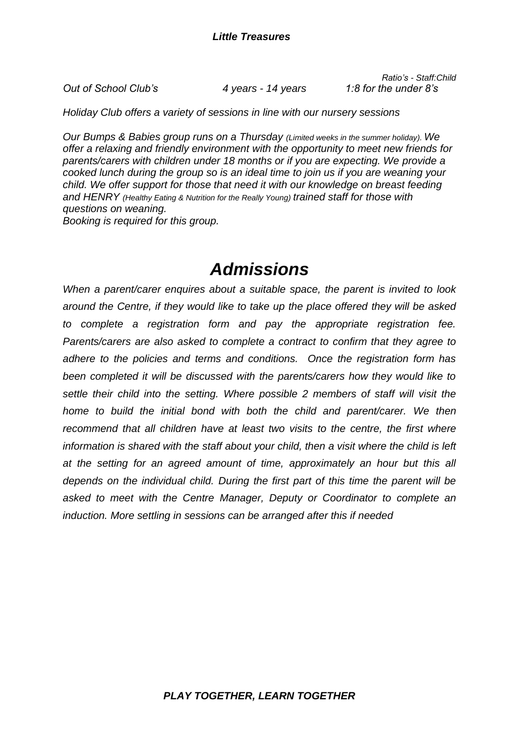*Out of School Club's 4 years - 14 years 1:8 for the under 8's*

*Ratio's - Staff:Child* 

*Holiday Club offers a variety of sessions in line with our nursery sessions*

*Our Bumps & Babies group runs on a Thursday (Limited weeks in the summer holiday). We offer a relaxing and friendly environment with the opportunity to meet new friends for parents/carers with children under 18 months or if you are expecting. We provide a cooked lunch during the group so is an ideal time to join us if you are weaning your child. We offer support for those that need it with our knowledge on breast feeding and HENRY (Healthy Eating & Nutrition for the Really Young) trained staff for those with questions on weaning. Booking is required for this group.*

# *Admissions*

*When a parent/carer enquires about a suitable space, the parent is invited to look around the Centre, if they would like to take up the place offered they will be asked to complete a registration form and pay the appropriate registration fee. Parents/carers are also asked to complete a contract to confirm that they agree to adhere to the policies and terms and conditions. Once the registration form has been completed it will be discussed with the parents/carers how they would like to settle their child into the setting. Where possible 2 members of staff will visit the home to build the initial bond with both the child and parent/carer. We then recommend that all children have at least two visits to the centre, the first where information is shared with the staff about your child, then a visit where the child is left at the setting for an agreed amount of time, approximately an hour but this all depends on the individual child. During the first part of this time the parent will be asked to meet with the Centre Manager, Deputy or Coordinator to complete an induction. More settling in sessions can be arranged after this if needed*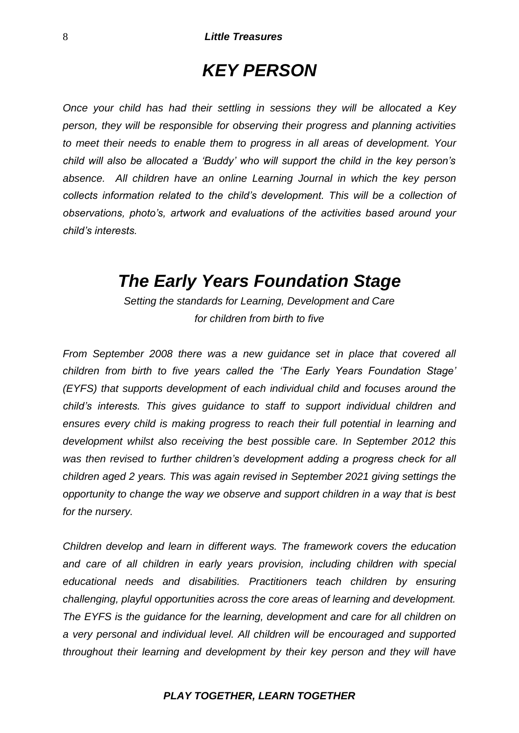# *KEY PERSON*

*Once your child has had their settling in sessions they will be allocated a Key person, they will be responsible for observing their progress and planning activities to meet their needs to enable them to progress in all areas of development. Your child will also be allocated a 'Buddy' who will support the child in the key person's absence. All children have an online Learning Journal in which the key person collects information related to the child's development. This will be a collection of observations, photo's, artwork and evaluations of the activities based around your child's interests.* 

# *The Early Years Foundation Stage*

*Setting the standards for Learning, Development and Care for children from birth to five*

*From September 2008 there was a new guidance set in place that covered all children from birth to five years called the 'The Early Years Foundation Stage' (EYFS) that supports development of each individual child and focuses around the child's interests. This gives guidance to staff to support individual children and ensures every child is making progress to reach their full potential in learning and development whilst also receiving the best possible care. In September 2012 this was then revised to further children's development adding a progress check for all children aged 2 years. This was again revised in September 2021 giving settings the opportunity to change the way we observe and support children in a way that is best for the nursery.*

*Children develop and learn in different ways. The framework covers the education and care of all children in early years provision, including children with special educational needs and disabilities. Practitioners teach children by ensuring challenging, playful opportunities across the core areas of learning and development. The EYFS is the guidance for the learning, development and care for all children on a very personal and individual level. All children will be encouraged and supported throughout their learning and development by their key person and they will have*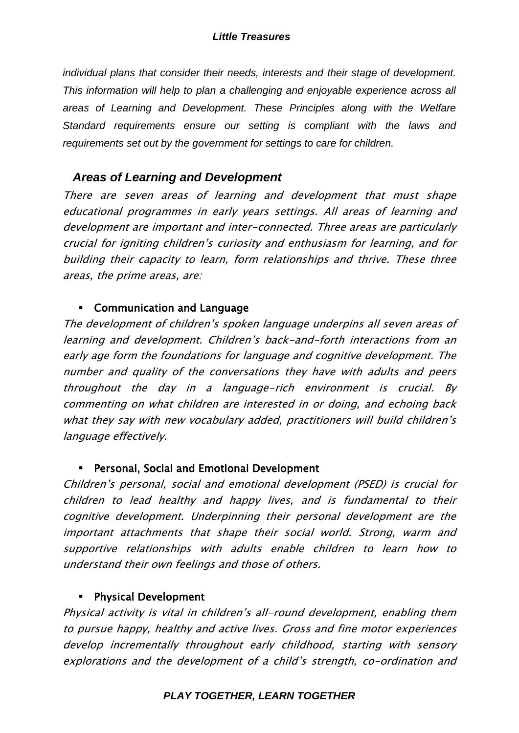*individual plans that consider their needs, interests and their stage of development. This information will help to plan a challenging and enjoyable experience across all areas of Learning and Development. These Principles along with the Welfare Standard requirements ensure our setting is compliant with the laws and requirements set out by the government for settings to care for children.* 

### *Areas of Learning and Development*

There are seven areas of learning and development that must shape educational programmes in early years settings. All areas of learning and development are important and inter-connected. Three areas are particularly crucial for igniting children's curiosity and enthusiasm for learning, and for building their capacity to learn, form relationships and thrive. These three areas, the prime areas, are:

### Communication and Language

The development of children's spoken language underpins all seven areas of learning and development. Children's back-and-forth interactions from an early age form the foundations for language and cognitive development. The number and quality of the conversations they have with adults and peers throughout the day in a language-rich environment is crucial. By commenting on what children are interested in or doing, and echoing back what they say with new vocabulary added, practitioners will build children's language effectively.

### Personal, Social and Emotional Development

Children's personal, social and emotional development (PSED) is crucial for children to lead healthy and happy lives, and is fundamental to their cognitive development. Underpinning their personal development are the important attachments that shape their social world. Strong, warm and supportive relationships with adults enable children to learn how to understand their own feelings and those of others.

### Physical Development

Physical activity is vital in children's all-round development, enabling them to pursue happy, healthy and active lives. Gross and fine motor experiences develop incrementally throughout early childhood, starting with sensory explorations and the development of a child's strength, co-ordination and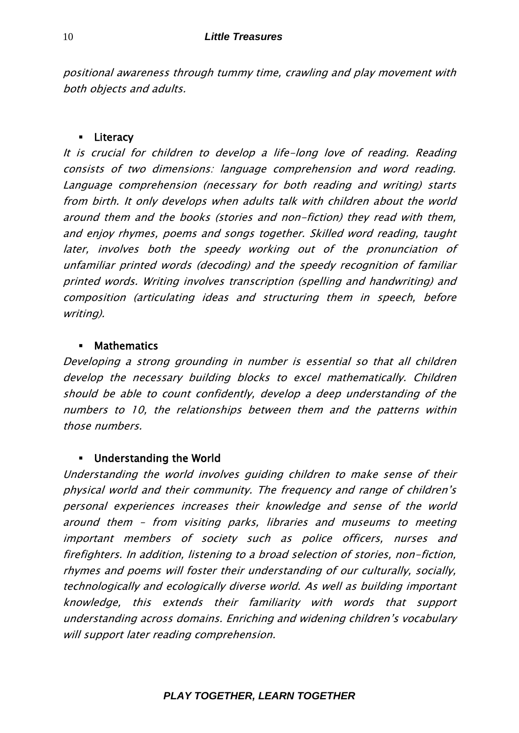positional awareness through tummy time, crawling and play movement with both objects and adults.

### **Eliteracy**

It is crucial for children to develop a life-long love of reading. Reading consists of two dimensions: language comprehension and word reading. Language comprehension (necessary for both reading and writing) starts from birth. It only develops when adults talk with children about the world around them and the books (stories and non-fiction) they read with them, and enjoy rhymes, poems and songs together. Skilled word reading, taught later, involves both the speedy working out of the pronunciation of unfamiliar printed words (decoding) and the speedy recognition of familiar printed words. Writing involves transcription (spelling and handwriting) and composition (articulating ideas and structuring them in speech, before writing).

### **Mathematics**

Developing a strong grounding in number is essential so that all children develop the necessary building blocks to excel mathematically. Children should be able to count confidently, develop a deep understanding of the numbers to 10, the relationships between them and the patterns within those numbers.

### Understanding the World

Understanding the world involves guiding children to make sense of their physical world and their community. The frequency and range of children's personal experiences increases their knowledge and sense of the world around them – from visiting parks, libraries and museums to meeting important members of society such as police officers, nurses and firefighters. In addition, listening to a broad selection of stories, non-fiction, rhymes and poems will foster their understanding of our culturally, socially, technologically and ecologically diverse world. As well as building important knowledge, this extends their familiarity with words that support understanding across domains. Enriching and widening children's vocabulary will support later reading comprehension.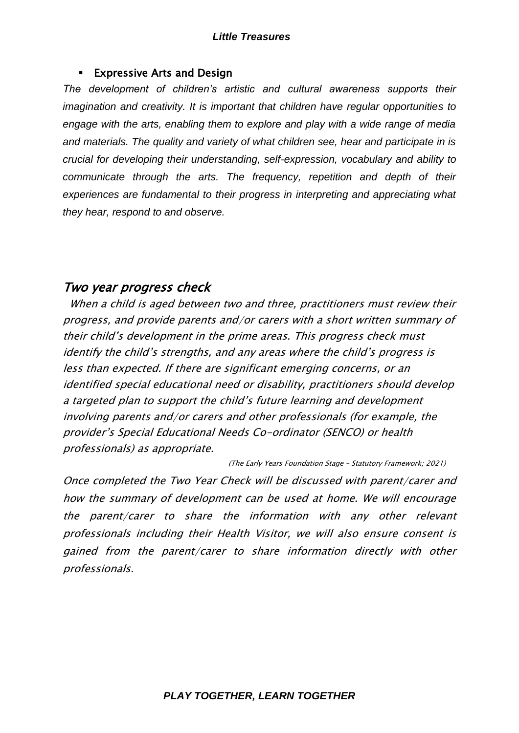#### Expressive Arts and Design

*The development of children's artistic and cultural awareness supports their imagination and creativity. It is important that children have regular opportunities to engage with the arts, enabling them to explore and play with a wide range of media and materials. The quality and variety of what children see, hear and participate in is crucial for developing their understanding, self-expression, vocabulary and ability to communicate through the arts. The frequency, repetition and depth of their experiences are fundamental to their progress in interpreting and appreciating what they hear, respond to and observe.*

### Two year progress check

 When a child is aged between two and three, practitioners must review their progress, and provide parents and/or carers with a short written summary of their child's development in the prime areas. This progress check must identify the child's strengths, and any areas where the child's progress is less than expected. If there are significant emerging concerns, or an identified special educational need or disability, practitioners should develop a targeted plan to support the child's future learning and development involving parents and/or carers and other professionals (for example, the provider's Special Educational Needs Co-ordinator (SENCO) or health professionals) as appropriate.

(The Early Years Foundation Stage – Statutory Framework; 2021)

Once completed the Two Year Check will be discussed with parent/carer and how the summary of development can be used at home. We will encourage the parent/carer to share the information with any other relevant professionals including their Health Visitor, we will also ensure consent is gained from the parent/carer to share information directly with other professionals.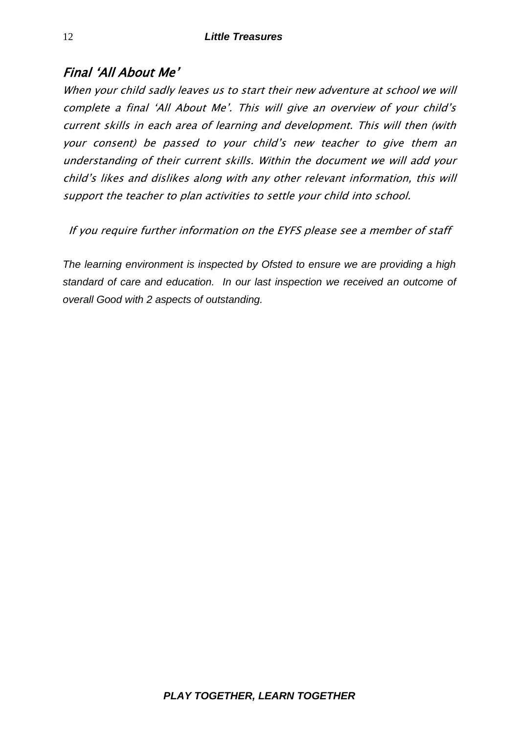### Final 'All About Me'

When your child sadly leaves us to start their new adventure at school we will complete a final 'All About Me'. This will give an overview of your child's current skills in each area of learning and development. This will then (with your consent) be passed to your child's new teacher to give them an understanding of their current skills. Within the document we will add your child's likes and dislikes along with any other relevant information, this will support the teacher to plan activities to settle your child into school.

If you require further information on the EYFS please see a member of staff

*The learning environment is inspected by Ofsted to ensure we are providing a high standard of care and education. In our last inspection we received an outcome of overall Good with 2 aspects of outstanding.*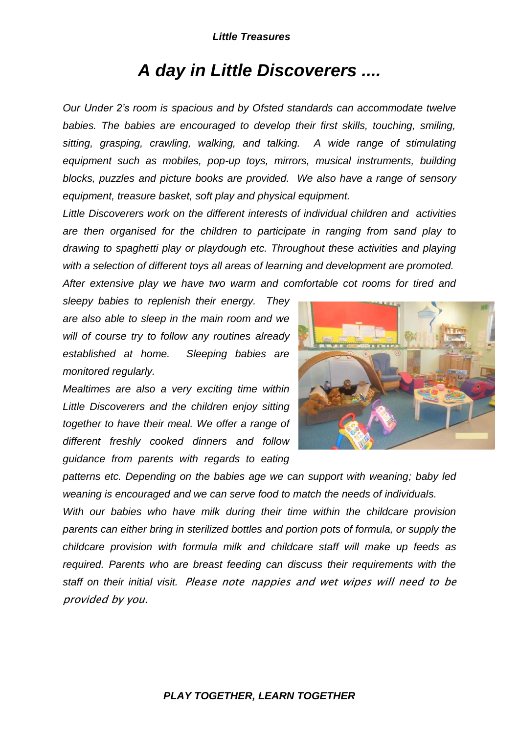# *A day in Little Discoverers ....*

*Our Under 2's room is spacious and by Ofsted standards can accommodate twelve babies. The babies are encouraged to develop their first skills, touching, smiling, sitting, grasping, crawling, walking, and talking. A wide range of stimulating equipment such as mobiles, pop-up toys, mirrors, musical instruments, building blocks, puzzles and picture books are provided. We also have a range of sensory equipment, treasure basket, soft play and physical equipment.* 

*Little Discoverers work on the different interests of individual children and activities are then organised for the children to participate in ranging from sand play to drawing to spaghetti play or playdough etc. Throughout these activities and playing with a selection of different toys all areas of learning and development are promoted. After extensive play we have two warm and comfortable cot rooms for tired and* 

*sleepy babies to replenish their energy. They are also able to sleep in the main room and we will of course try to follow any routines already established at home. Sleeping babies are monitored regularly.*

*Mealtimes are also a very exciting time within Little Discoverers and the children enjoy sitting together to have their meal. We offer a range of different freshly cooked dinners and follow guidance from parents with regards to eating* 



*patterns etc. Depending on the babies age we can support with weaning; baby led weaning is encouraged and we can serve food to match the needs of individuals.*

*With our babies who have milk during their time within the childcare provision parents can either bring in sterilized bottles and portion pots of formula, or supply the childcare provision with formula milk and childcare staff will make up feeds as required. Parents who are breast feeding can discuss their requirements with the staff on their initial visit.* Please note nappies and wet wipes will need to be provided by you.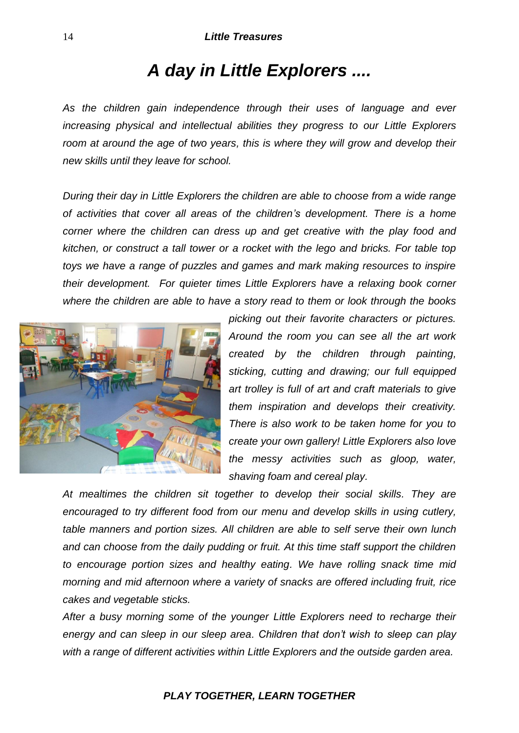# *A day in Little Explorers ....*

*As the children gain independence through their uses of language and ever increasing physical and intellectual abilities they progress to our Little Explorers room at around the age of two years, this is where they will grow and develop their new skills until they leave for school.*

*During their day in Little Explorers the children are able to choose from a wide range of activities that cover all areas of the children's development. There is a home corner where the children can dress up and get creative with the play food and kitchen, or construct a tall tower or a rocket with the lego and bricks. For table top toys we have a range of puzzles and games and mark making resources to inspire their development. For quieter times Little Explorers have a relaxing book corner where the children are able to have a story read to them or look through the books* 



*picking out their favorite characters or pictures. Around the room you can see all the art work created by the children through painting, sticking, cutting and drawing; our full equipped art trolley is full of art and craft materials to give them inspiration and develops their creativity. There is also work to be taken home for you to create your own gallery! Little Explorers also love the messy activities such as gloop, water, shaving foam and cereal play.* 

*At mealtimes the children sit together to develop their social skills. They are encouraged to try different food from our menu and develop skills in using cutlery, table manners and portion sizes. All children are able to self serve their own lunch and can choose from the daily pudding or fruit. At this time staff support the children to encourage portion sizes and healthy eating. We have rolling snack time mid morning and mid afternoon where a variety of snacks are offered including fruit, rice cakes and vegetable sticks.*

*After a busy morning some of the younger Little Explorers need to recharge their energy and can sleep in our sleep area. Children that don't wish to sleep can play with a range of different activities within Little Explorers and the outside garden area.*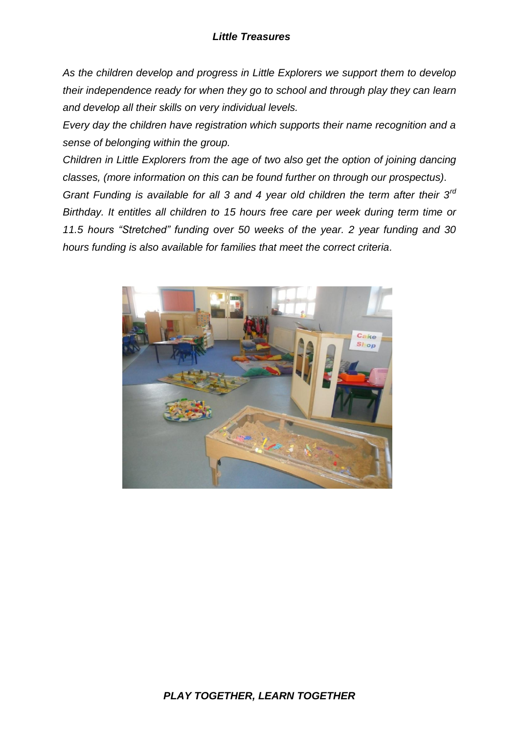*As the children develop and progress in Little Explorers we support them to develop their independence ready for when they go to school and through play they can learn and develop all their skills on very individual levels.*

*Every day the children have registration which supports their name recognition and a sense of belonging within the group.* 

*Children in Little Explorers from the age of two also get the option of joining dancing classes, (more information on this can be found further on through our prospectus). Grant Funding is available for all 3 and 4 year old children the term after their 3rd Birthday. It entitles all children to 15 hours free care per week during term time or 11.5 hours "Stretched" funding over 50 weeks of the year. 2 year funding and 30 hours funding is also available for families that meet the correct criteria.*

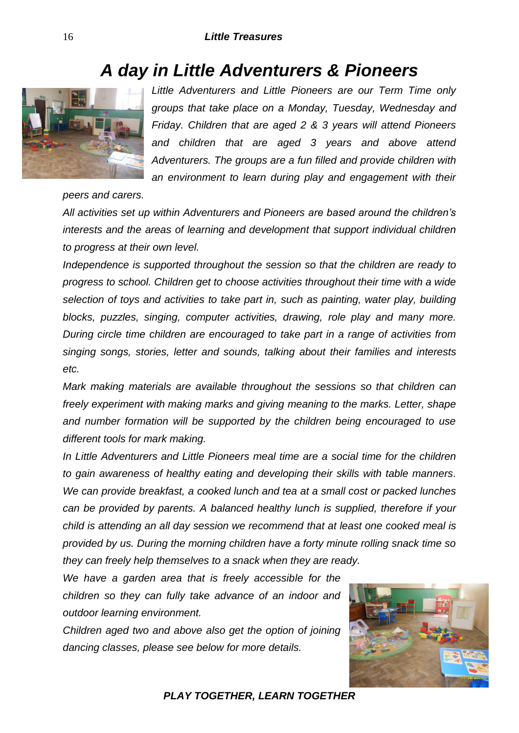# *A day in Little Adventurers & Pioneers*



*Little Adventurers and Little Pioneers are our Term Time only groups that take place on a Monday, Tuesday, Wednesday and Friday. Children that are aged 2 & 3 years will attend Pioneers and children that are aged 3 years and above attend Adventurers. The groups are a fun filled and provide children with an environment to learn during play and engagement with their* 

*peers and carers.* 

*All activities set up within Adventurers and Pioneers are based around the children's interests and the areas of learning and development that support individual children to progress at their own level.*

*Independence is supported throughout the session so that the children are ready to progress to school. Children get to choose activities throughout their time with a wide selection of toys and activities to take part in, such as painting, water play, building blocks, puzzles, singing, computer activities, drawing, role play and many more. During circle time children are encouraged to take part in a range of activities from singing songs, stories, letter and sounds, talking about their families and interests etc.*

*Mark making materials are available throughout the sessions so that children can freely experiment with making marks and giving meaning to the marks. Letter, shape and number formation will be supported by the children being encouraged to use different tools for mark making.* 

*In Little Adventurers and Little Pioneers meal time are a social time for the children to gain awareness of healthy eating and developing their skills with table manners. We can provide breakfast, a cooked lunch and tea at a small cost or packed lunches can be provided by parents. A balanced healthy lunch is supplied, therefore if your child is attending an all day session we recommend that at least one cooked meal is provided by us. During the morning children have a forty minute rolling snack time so they can freely help themselves to a snack when they are ready.*

*We have a garden area that is freely accessible for the children so they can fully take advance of an indoor and outdoor learning environment.*

*Children aged two and above also get the option of joining dancing classes, please see below for more details.*

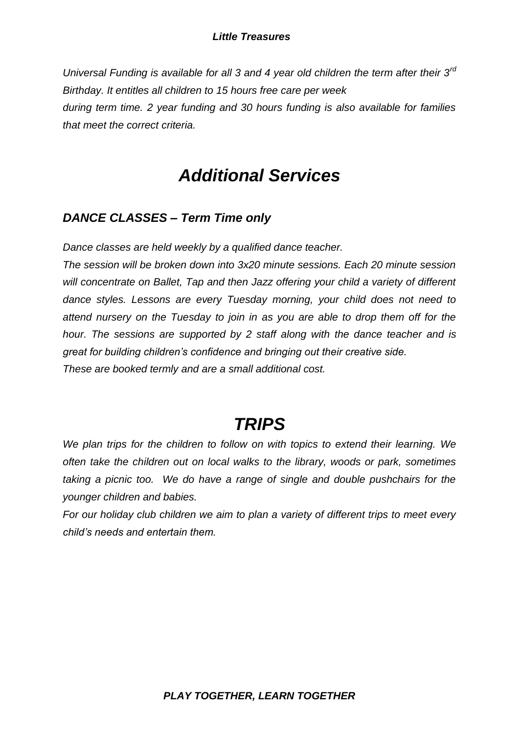*Universal Funding is available for all 3 and 4 year old children the term after their 3rd Birthday. It entitles all children to 15 hours free care per week during term time. 2 year funding and 30 hours funding is also available for families that meet the correct criteria.* 

# *Additional Services*

### *DANCE CLASSES – Term Time only*

*Dance classes are held weekly by a qualified dance teacher.*

*The session will be broken down into 3x20 minute sessions. Each 20 minute session will concentrate on Ballet, Tap and then Jazz offering your child a variety of different dance styles. Lessons are every Tuesday morning, your child does not need to attend nursery on the Tuesday to join in as you are able to drop them off for the hour. The sessions are supported by 2 staff along with the dance teacher and is great for building children's confidence and bringing out their creative side. These are booked termly and are a small additional cost.*

# *TRIPS*

*We plan trips for the children to follow on with topics to extend their learning. We often take the children out on local walks to the library, woods or park, sometimes taking a picnic too. We do have a range of single and double pushchairs for the younger children and babies.* 

*For our holiday club children we aim to plan a variety of different trips to meet every child's needs and entertain them.*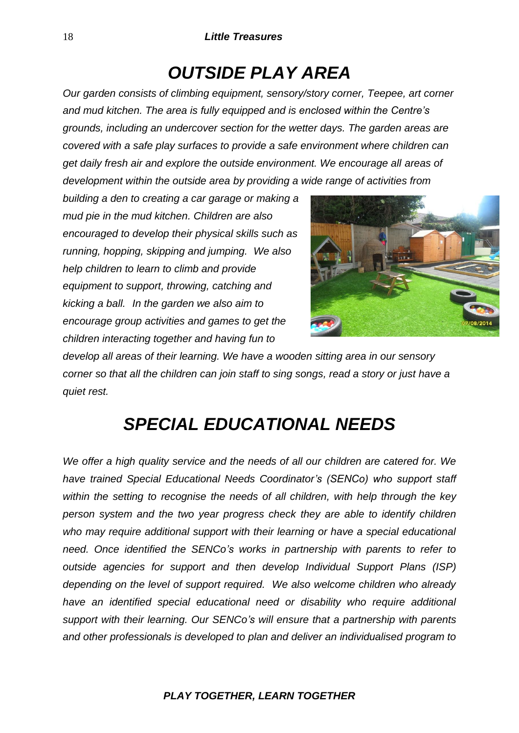# *OUTSIDE PLAY AREA*

*Our garden consists of climbing equipment, sensory/story corner, Teepee, art corner and mud kitchen. The area is fully equipped and is enclosed within the Centre's grounds, including an undercover section for the wetter days. The garden areas are covered with a safe play surfaces to provide a safe environment where children can get daily fresh air and explore the outside environment. We encourage all areas of development within the outside area by providing a wide range of activities from* 

*building a den to creating a car garage or making a mud pie in the mud kitchen. Children are also encouraged to develop their physical skills such as running, hopping, skipping and jumping. We also help children to learn to climb and provide equipment to support, throwing, catching and kicking a ball. In the garden we also aim to encourage group activities and games to get the children interacting together and having fun to* 



*develop all areas of their learning. We have a wooden sitting area in our sensory corner so that all the children can join staff to sing songs, read a story or just have a quiet rest.*

# *SPECIAL EDUCATIONAL NEEDS*

*We offer a high quality service and the needs of all our children are catered for. We have trained Special Educational Needs Coordinator's (SENCo) who support staff within the setting to recognise the needs of all children, with help through the key person system and the two year progress check they are able to identify children*  who may require additional support with their learning or have a special educational *need. Once identified the SENCo's works in partnership with parents to refer to outside agencies for support and then develop Individual Support Plans (ISP) depending on the level of support required. We also welcome children who already have an identified special educational need or disability who require additional support with their learning. Our SENCo's will ensure that a partnership with parents and other professionals is developed to plan and deliver an individualised program to*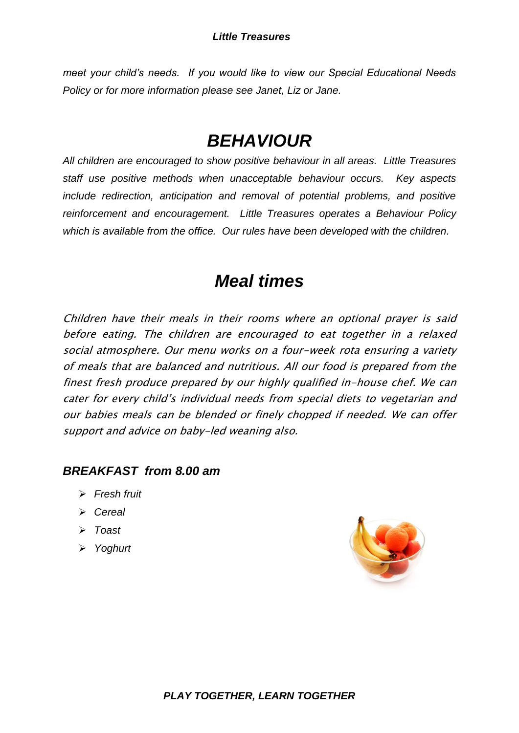*meet your child's needs. If you would like to view our Special Educational Needs Policy or for more information please see Janet, Liz or Jane.*

# *BEHAVIOUR*

*All children are encouraged to show positive behaviour in all areas. Little Treasures staff use positive methods when unacceptable behaviour occurs. Key aspects include redirection, anticipation and removal of potential problems, and positive reinforcement and encouragement. Little Treasures operates a Behaviour Policy which is available from the office. Our rules have been developed with the children.*

# *Meal times*

Children have their meals in their rooms where an optional prayer is said before eating. The children are encouraged to eat together in a relaxed social atmosphere. Our menu works on a four-week rota ensuring a variety of meals that are balanced and nutritious. All our food is prepared from the finest fresh produce prepared by our highly qualified in-house chef. We can cater for every child's individual needs from special diets to vegetarian and our babies meals can be blended or finely chopped if needed. We can offer support and advice on baby-led weaning also.

### *BREAKFAST from 8.00 am*

- *Fresh fruit*
- *Cereal*
- *Toast*
- *Yoghurt*

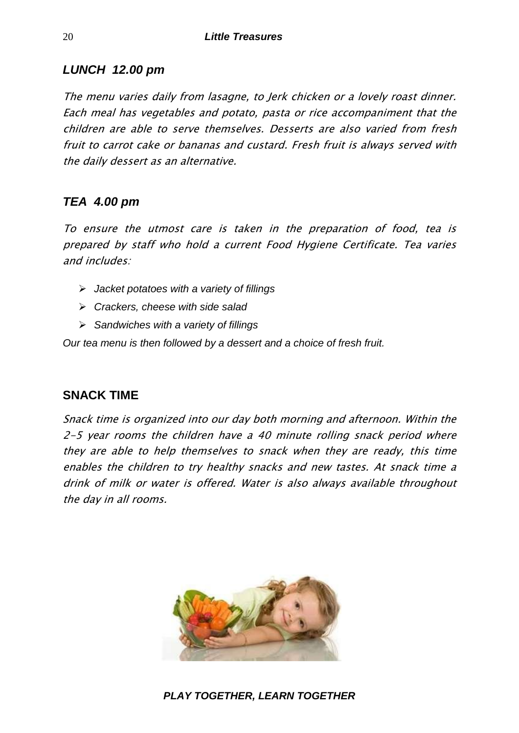### *LUNCH 12.00 pm*

The menu varies daily from lasagne, to Jerk chicken or a lovely roast dinner. Each meal has vegetables and potato, pasta or rice accompaniment that the children are able to serve themselves. Desserts are also varied from fresh fruit to carrot cake or bananas and custard. Fresh fruit is always served with the daily dessert as an alternative.

### *TEA 4.00 pm*

To ensure the utmost care is taken in the preparation of food, tea is prepared by staff who hold a current Food Hygiene Certificate. Tea varies and includes:

- *Jacket potatoes with a variety of fillings*
- *Crackers, cheese with side salad*
- *Sandwiches with a variety of fillings*

*Our tea menu is then followed by a dessert and a choice of fresh fruit.*

### **SNACK TIME**

Snack time is organized into our day both morning and afternoon. Within the 2-5 year rooms the children have a 40 minute rolling snack period where they are able to help themselves to snack when they are ready, this time enables the children to try healthy snacks and new tastes. At snack time a drink of milk or water is offered. Water is also always available throughout the day in all rooms.

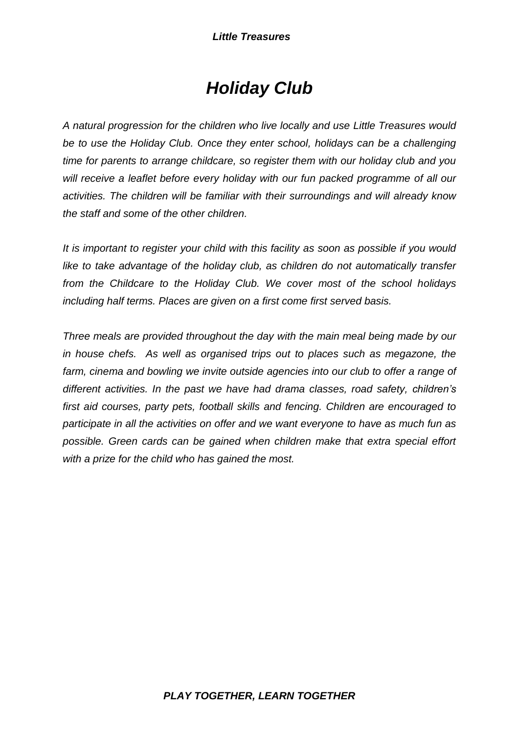# *Holiday Club*

*A natural progression for the children who live locally and use Little Treasures would be to use the Holiday Club. Once they enter school, holidays can be a challenging time for parents to arrange childcare, so register them with our holiday club and you will receive a leaflet before every holiday with our fun packed programme of all our activities. The children will be familiar with their surroundings and will already know the staff and some of the other children.*

*It is important to register your child with this facility as soon as possible if you would like to take advantage of the holiday club, as children do not automatically transfer from the Childcare to the Holiday Club. We cover most of the school holidays including half terms. Places are given on a first come first served basis.*

*Three meals are provided throughout the day with the main meal being made by our in house chefs. As well as organised trips out to places such as megazone, the farm, cinema and bowling we invite outside agencies into our club to offer a range of different activities. In the past we have had drama classes, road safety, children's first aid courses, party pets, football skills and fencing. Children are encouraged to participate in all the activities on offer and we want everyone to have as much fun as possible. Green cards can be gained when children make that extra special effort with a prize for the child who has gained the most.*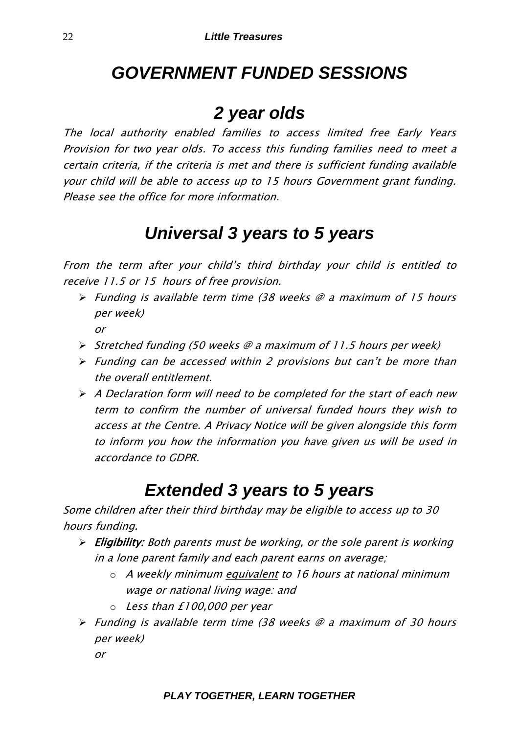# *GOVERNMENT FUNDED SESSIONS*

# *2 year olds*

The local authority enabled families to access limited free Early Years Provision for two year olds. To access this funding families need to meet a certain criteria, if the criteria is met and there is sufficient funding available your child will be able to access up to 15 hours Government grant funding. Please see the office for more information.

# *Universal 3 years to 5 years*

From the term after your child's third birthday you<sup>r</sup> child is entitled to receive 11.5 or 15 hours of free provision.

- $\triangleright$  Funding is available term time (38 weeks  $\oslash$  a maximum of 15 hours per week) or
- $\triangleright$  Stretched funding (50 weeks @ a maximum of 11.5 hours per week)
- $\triangleright$  Funding can be accessed within 2 provisions but can't be more than the overall entitlement.
- $\triangleright$  A Declaration form will need to be completed for the start of each new term to confirm the number of universal funded hours they wish to access at the Centre. A Privacy Notice will be given alongside this form to inform you how the information you have given us will be used in accordance to GDPR.

# *Extended 3 years to 5 years*

Some children after their third birthday may be eligible to access up to 30 hours funding.

- $\triangleright$  Eligibility: Both parents must be working, or the sole parent is working in a lone parent family and each parent earns on average;
	- $\circ$  A weekly minimum equivalent to 16 hours at national minimum wage or national living wage: and
	- o Less than £100,000 per year
- $\triangleright$  Funding is available term time (38 weeks  $\oslash$  a maximum of 30 hours per week)
	- or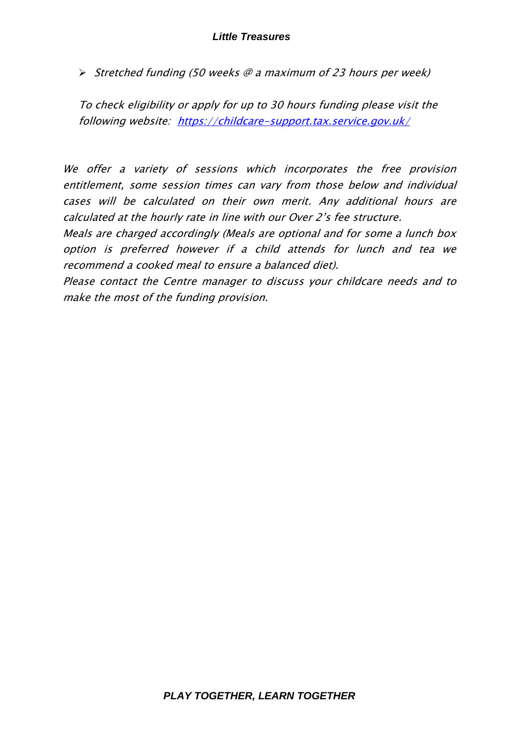$\triangleright$  Stretched funding (50 weeks @ a maximum of 23 hours per week)

To check eligibility or apply for up to 30 hours funding please visit the following website: <https://childcare-support.tax.service.gov.uk/>

We offer a variety of sessions which incorporates the free provision entitlement, some session times can vary from those below and individual cases will be calculated on their own merit. Any additional hours are calculated at the hourly rate in line with our Over 2's fee structure.

Meals are charged accordingly (Meals are optional and for some a lunch box option is preferred however if a child attends for lunch and tea we recommend a cooked meal to ensure a balanced diet).

Please contact the Centre manager to discuss your childcare needs and to make the most of the funding provision.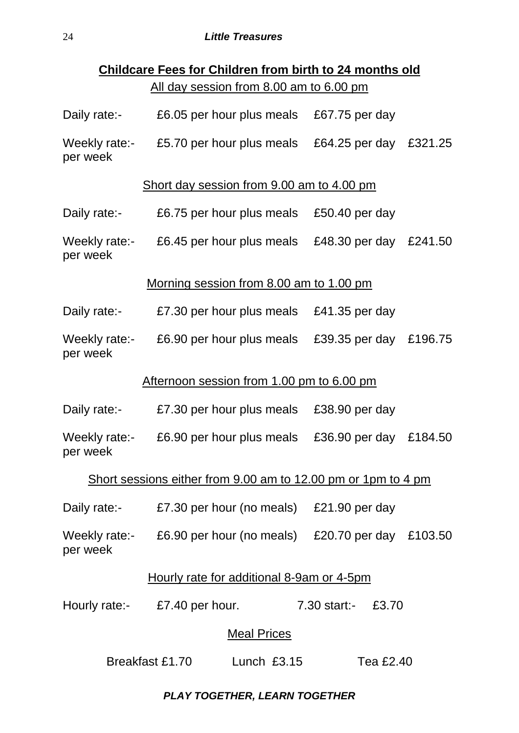| <b>Childcare Fees for Children from birth to 24 months old</b> |                                                                                                      |                                                  |  |  |  |
|----------------------------------------------------------------|------------------------------------------------------------------------------------------------------|--------------------------------------------------|--|--|--|
|                                                                | All day session from 8.00 am to 6.00 pm                                                              |                                                  |  |  |  |
| Daily rate:-                                                   | £6.05 per hour plus meals £67.75 per day                                                             |                                                  |  |  |  |
| Weekly rate:-<br>per week                                      |                                                                                                      | £5.70 per hour plus meals £64.25 per day £321.25 |  |  |  |
| Short day session from 9.00 am to 4.00 pm                      |                                                                                                      |                                                  |  |  |  |
| Daily rate:-                                                   | £6.75 per hour plus meals                                                                            | £50.40 per day                                   |  |  |  |
| Weekly rate:-<br>per week                                      |                                                                                                      | £6.45 per hour plus meals £48.30 per day £241.50 |  |  |  |
| Morning session from 8.00 am to 1.00 pm                        |                                                                                                      |                                                  |  |  |  |
| Daily rate:-                                                   | £7.30 per hour plus meals £41.35 per day                                                             |                                                  |  |  |  |
| Weekly rate:-<br>per week                                      | £6.90 per hour plus meals                                                                            | £39.35 per day<br>£196.75                        |  |  |  |
|                                                                | Afternoon session from 1.00 pm to 6.00 pm                                                            |                                                  |  |  |  |
| Daily rate:-                                                   | £7.30 per hour plus meals                                                                            | £38.90 per day                                   |  |  |  |
| Weekly rate:-<br>per week                                      | £6.90 per hour plus meals                                                                            | £36.90 per day<br>£184.50                        |  |  |  |
| Short sessions either from 9.00 am to 12.00 pm or 1pm to 4 pm  |                                                                                                      |                                                  |  |  |  |
|                                                                | Daily rate:- £7.30 per hour (no meals) £21.90 per day                                                |                                                  |  |  |  |
| per week                                                       | Weekly rate: $\overline{E6.90}$ per hour (no meals) $\overline{E20.70}$ per day $\overline{E103.50}$ |                                                  |  |  |  |
| Hourly rate for additional 8-9am or 4-5pm                      |                                                                                                      |                                                  |  |  |  |
|                                                                | Hourly rate: $\epsilon$ £7.40 per hour. 7.30 start:- £3.70                                           |                                                  |  |  |  |
| <b>Meal Prices</b>                                             |                                                                                                      |                                                  |  |  |  |
| Breakfast £1.70<br>Lunch $£3.15$<br>Tea £2.40                  |                                                                                                      |                                                  |  |  |  |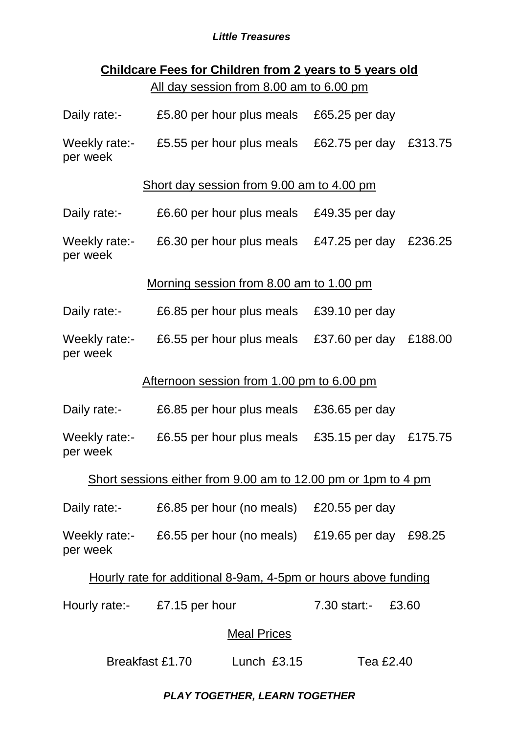# **Childcare Fees for Children from 2 years to 5 years old** All day session from 8.00 am to 6.00 pm

| Daily rate:-                                                   | £5.80 per hour plus meals                                     | £65.25 per day         |         |  |  |
|----------------------------------------------------------------|---------------------------------------------------------------|------------------------|---------|--|--|
| Weekly rate:-<br>per week                                      | £5.55 per hour plus meals                                     | £62.75 per day £313.75 |         |  |  |
|                                                                | Short day session from 9.00 am to 4.00 pm                     |                        |         |  |  |
| Daily rate:-                                                   | £6.60 per hour plus meals £49.35 per day                      |                        |         |  |  |
| Weekly rate:-<br>per week                                      | £6.30 per hour plus meals £47.25 per day                      |                        | £236.25 |  |  |
|                                                                | Morning session from 8.00 am to 1.00 pm                       |                        |         |  |  |
| Daily rate:-                                                   | £6.85 per hour plus meals £39.10 per day                      |                        |         |  |  |
| Weekly rate:-<br>per week                                      | £6.55 per hour plus meals £37.60 per day £188.00              |                        |         |  |  |
|                                                                | Afternoon session from 1.00 pm to 6.00 pm                     |                        |         |  |  |
| Daily rate:-                                                   | £6.85 per hour plus meals                                     | £36.65 per day         |         |  |  |
| Weekly rate:-<br>per week                                      | £6.55 per hour plus meals                                     | £35.15 per day £175.75 |         |  |  |
| Short sessions either from 9.00 am to 12.00 pm or 1pm to 4 pm  |                                                               |                        |         |  |  |
|                                                                | Daily rate:- £6.85 per hour (no meals) £20.55 per day         |                        |         |  |  |
| per week                                                       | Weekly rate:- £6.55 per hour (no meals) £19.65 per day £98.25 |                        |         |  |  |
| Hourly rate for additional 8-9am, 4-5pm or hours above funding |                                                               |                        |         |  |  |
|                                                                | Hourly rate:- £7.15 per hour                                  | 7.30 start:- £3.60     |         |  |  |
| <b>Meal Prices</b>                                             |                                                               |                        |         |  |  |

Breakfast £1.70 Lunch £3.15 Tea £2.40